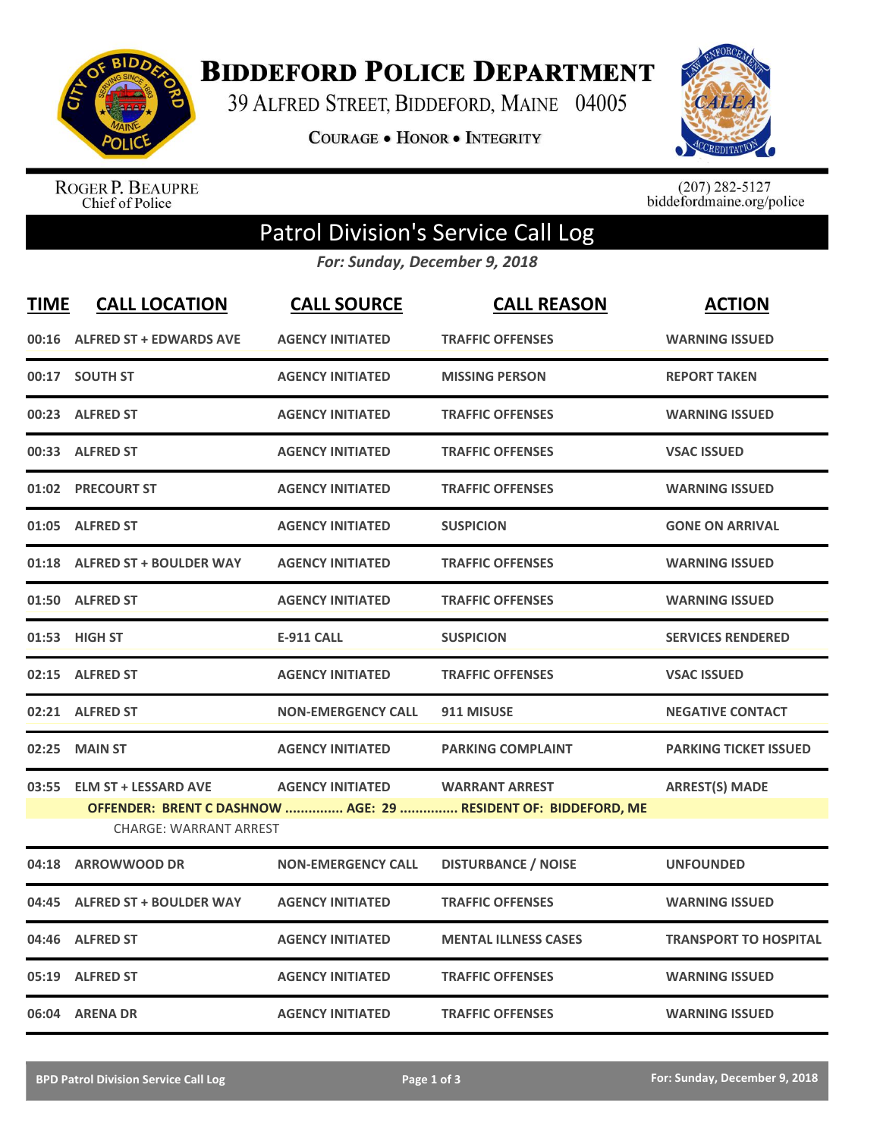

**BIDDEFORD POLICE DEPARTMENT** 

39 ALFRED STREET, BIDDEFORD, MAINE 04005

**COURAGE . HONOR . INTEGRITY** 



ROGER P. BEAUPRE<br>Chief of Police

 $(207)$  282-5127<br>biddefordmaine.org/police

## Patrol Division's Service Call Log

*For: Sunday, December 9, 2018*

| <b>TIME</b> | <b>CALL LOCATION</b>                                         | <b>CALL SOURCE</b>        | <b>CALL REASON</b>                                                                      | <b>ACTION</b>                |
|-------------|--------------------------------------------------------------|---------------------------|-----------------------------------------------------------------------------------------|------------------------------|
|             | 00:16 ALFRED ST + EDWARDS AVE                                | <b>AGENCY INITIATED</b>   | <b>TRAFFIC OFFENSES</b>                                                                 | <b>WARNING ISSUED</b>        |
|             | 00:17 SOUTH ST                                               | <b>AGENCY INITIATED</b>   | <b>MISSING PERSON</b>                                                                   | <b>REPORT TAKEN</b>          |
|             | 00:23 ALFRED ST                                              | <b>AGENCY INITIATED</b>   | <b>TRAFFIC OFFENSES</b>                                                                 | <b>WARNING ISSUED</b>        |
|             | 00:33 ALFRED ST                                              | <b>AGENCY INITIATED</b>   | <b>TRAFFIC OFFENSES</b>                                                                 | <b>VSAC ISSUED</b>           |
|             | 01:02 PRECOURT ST                                            | <b>AGENCY INITIATED</b>   | <b>TRAFFIC OFFENSES</b>                                                                 | <b>WARNING ISSUED</b>        |
|             | 01:05 ALFRED ST                                              | <b>AGENCY INITIATED</b>   | <b>SUSPICION</b>                                                                        | <b>GONE ON ARRIVAL</b>       |
|             | 01:18 ALFRED ST + BOULDER WAY                                | <b>AGENCY INITIATED</b>   | <b>TRAFFIC OFFENSES</b>                                                                 | <b>WARNING ISSUED</b>        |
|             | 01:50 ALFRED ST                                              | <b>AGENCY INITIATED</b>   | <b>TRAFFIC OFFENSES</b>                                                                 | <b>WARNING ISSUED</b>        |
|             | 01:53 HIGH ST                                                | <b>E-911 CALL</b>         | <b>SUSPICION</b>                                                                        | <b>SERVICES RENDERED</b>     |
|             | 02:15 ALFRED ST                                              | <b>AGENCY INITIATED</b>   | <b>TRAFFIC OFFENSES</b>                                                                 | <b>VSAC ISSUED</b>           |
|             | 02:21 ALFRED ST                                              | <b>NON-EMERGENCY CALL</b> | 911 MISUSE                                                                              | <b>NEGATIVE CONTACT</b>      |
| 02:25       | <b>MAIN ST</b>                                               | <b>AGENCY INITIATED</b>   | <b>PARKING COMPLAINT</b>                                                                | <b>PARKING TICKET ISSUED</b> |
| 03:55       | <b>ELM ST + LESSARD AVE</b><br><b>CHARGE: WARRANT ARREST</b> | <b>AGENCY INITIATED</b>   | <b>WARRANT ARREST</b><br>OFFENDER: BRENT C DASHNOW  AGE: 29  RESIDENT OF: BIDDEFORD, ME | <b>ARREST(S) MADE</b>        |
| 04:18       | <b>ARROWWOOD DR</b>                                          | <b>NON-EMERGENCY CALL</b> | <b>DISTURBANCE / NOISE</b>                                                              | <b>UNFOUNDED</b>             |
| 04:45       | <b>ALFRED ST + BOULDER WAY</b>                               | <b>AGENCY INITIATED</b>   | <b>TRAFFIC OFFENSES</b>                                                                 | <b>WARNING ISSUED</b>        |
| 04:46       | <b>ALFRED ST</b>                                             | <b>AGENCY INITIATED</b>   | <b>MENTAL ILLNESS CASES</b>                                                             | <b>TRANSPORT TO HOSPITAL</b> |
| 05:19       | <b>ALFRED ST</b>                                             | <b>AGENCY INITIATED</b>   | <b>TRAFFIC OFFENSES</b>                                                                 | <b>WARNING ISSUED</b>        |
|             | 06:04 ARENA DR                                               | <b>AGENCY INITIATED</b>   | <b>TRAFFIC OFFENSES</b>                                                                 | <b>WARNING ISSUED</b>        |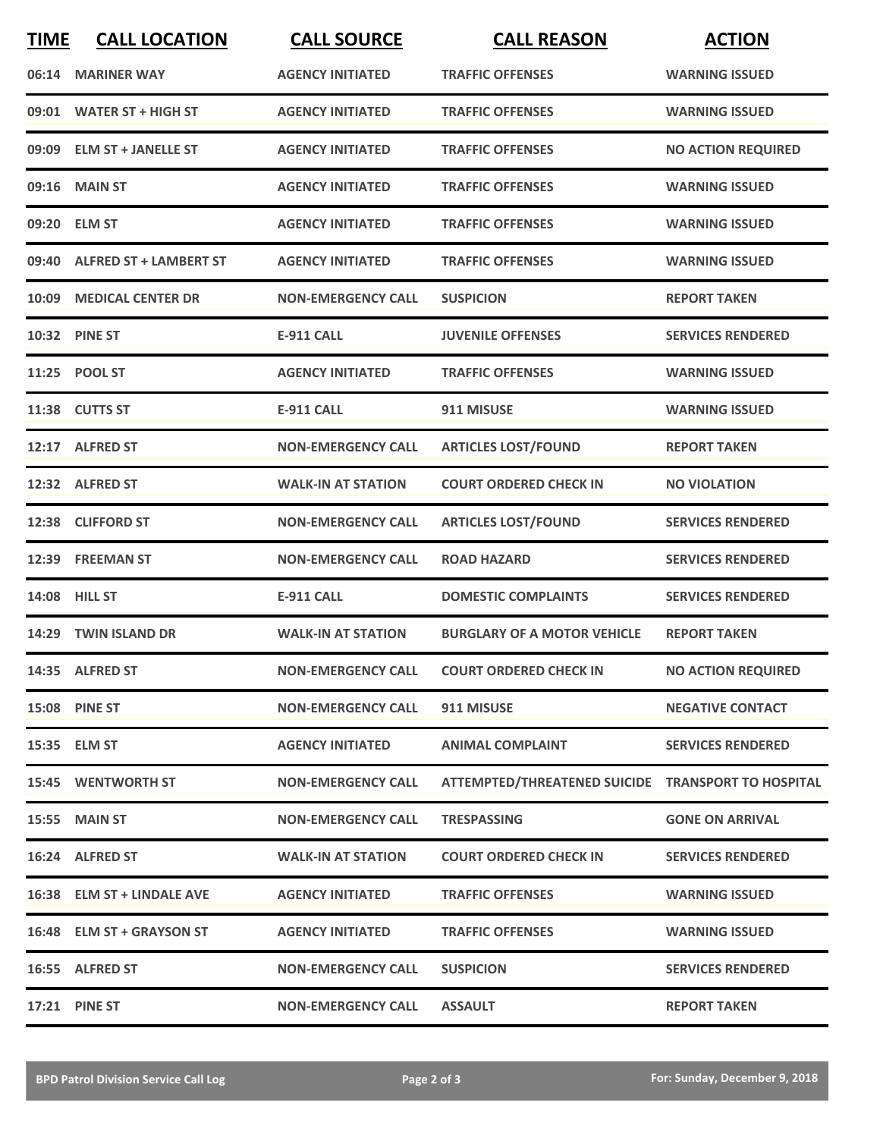| <b>TIME</b> | <b>CALL LOCATION</b>         | <b>CALL SOURCE</b>        | <b>CALL REASON</b>                                 | <b>ACTION</b>             |
|-------------|------------------------------|---------------------------|----------------------------------------------------|---------------------------|
|             | 06:14 MARINER WAY            | <b>AGENCY INITIATED</b>   | <b>TRAFFIC OFFENSES</b>                            | <b>WARNING ISSUED</b>     |
|             | 09:01 WATER ST + HIGH ST     | <b>AGENCY INITIATED</b>   | <b>TRAFFIC OFFENSES</b>                            | <b>WARNING ISSUED</b>     |
|             | 09:09 ELM ST + JANELLE ST    | <b>AGENCY INITIATED</b>   | <b>TRAFFIC OFFENSES</b>                            | <b>NO ACTION REQUIRED</b> |
|             | 09:16 MAIN ST                | <b>AGENCY INITIATED</b>   | <b>TRAFFIC OFFENSES</b>                            | <b>WARNING ISSUED</b>     |
|             | 09:20 ELM ST                 | <b>AGENCY INITIATED</b>   | <b>TRAFFIC OFFENSES</b>                            | <b>WARNING ISSUED</b>     |
|             | 09:40 ALFRED ST + LAMBERT ST | <b>AGENCY INITIATED</b>   | <b>TRAFFIC OFFENSES</b>                            | <b>WARNING ISSUED</b>     |
| 10:09       | <b>MEDICAL CENTER DR</b>     | <b>NON-EMERGENCY CALL</b> | <b>SUSPICION</b>                                   | <b>REPORT TAKEN</b>       |
|             | 10:32 PINE ST                | <b>E-911 CALL</b>         | <b>JUVENILE OFFENSES</b>                           | <b>SERVICES RENDERED</b>  |
|             | 11:25 POOL ST                | <b>AGENCY INITIATED</b>   | <b>TRAFFIC OFFENSES</b>                            | <b>WARNING ISSUED</b>     |
|             | 11:38 CUTTS ST               | <b>E-911 CALL</b>         | 911 MISUSE                                         | <b>WARNING ISSUED</b>     |
|             | 12:17 ALFRED ST              | <b>NON-EMERGENCY CALL</b> | <b>ARTICLES LOST/FOUND</b>                         | <b>REPORT TAKEN</b>       |
|             | 12:32 ALFRED ST              | <b>WALK-IN AT STATION</b> | <b>COURT ORDERED CHECK IN</b>                      | <b>NO VIOLATION</b>       |
| 12:38       | <b>CLIFFORD ST</b>           | <b>NON-EMERGENCY CALL</b> | <b>ARTICLES LOST/FOUND</b>                         | <b>SERVICES RENDERED</b>  |
|             | 12:39 FREEMAN ST             | <b>NON-EMERGENCY CALL</b> | <b>ROAD HAZARD</b>                                 | <b>SERVICES RENDERED</b>  |
|             | 14:08 HILL ST                | <b>E-911 CALL</b>         | <b>DOMESTIC COMPLAINTS</b>                         | <b>SERVICES RENDERED</b>  |
|             | 14:29 TWIN ISLAND DR         | <b>WALK-IN AT STATION</b> | <b>BURGLARY OF A MOTOR VEHICLE</b>                 | <b>REPORT TAKEN</b>       |
|             | 14:35 ALFRED ST              | <b>NON-EMERGENCY CALL</b> | <b>COURT ORDERED CHECK IN</b>                      | <b>NO ACTION REQUIRED</b> |
|             | <b>15:08 PINE ST</b>         | <b>NON-EMERGENCY CALL</b> | 911 MISUSE                                         | <b>NEGATIVE CONTACT</b>   |
|             | 15:35 ELM ST                 | <b>AGENCY INITIATED</b>   | <b>ANIMAL COMPLAINT</b>                            | <b>SERVICES RENDERED</b>  |
|             | <b>15:45 WENTWORTH ST</b>    | <b>NON-EMERGENCY CALL</b> | ATTEMPTED/THREATENED SUICIDE TRANSPORT TO HOSPITAL |                           |
|             | <b>15:55 MAIN ST</b>         | <b>NON-EMERGENCY CALL</b> | <b>TRESPASSING</b>                                 | <b>GONE ON ARRIVAL</b>    |
|             | 16:24 ALFRED ST              | <b>WALK-IN AT STATION</b> | <b>COURT ORDERED CHECK IN</b>                      | <b>SERVICES RENDERED</b>  |
|             | 16:38 ELM ST + LINDALE AVE   | <b>AGENCY INITIATED</b>   | <b>TRAFFIC OFFENSES</b>                            | <b>WARNING ISSUED</b>     |
|             | 16:48 ELM ST + GRAYSON ST    | <b>AGENCY INITIATED</b>   | <b>TRAFFIC OFFENSES</b>                            | <b>WARNING ISSUED</b>     |
|             | 16:55 ALFRED ST              | <b>NON-EMERGENCY CALL</b> | <b>SUSPICION</b>                                   | <b>SERVICES RENDERED</b>  |
|             | 17:21 PINE ST                | <b>NON-EMERGENCY CALL</b> | <b>ASSAULT</b>                                     | <b>REPORT TAKEN</b>       |